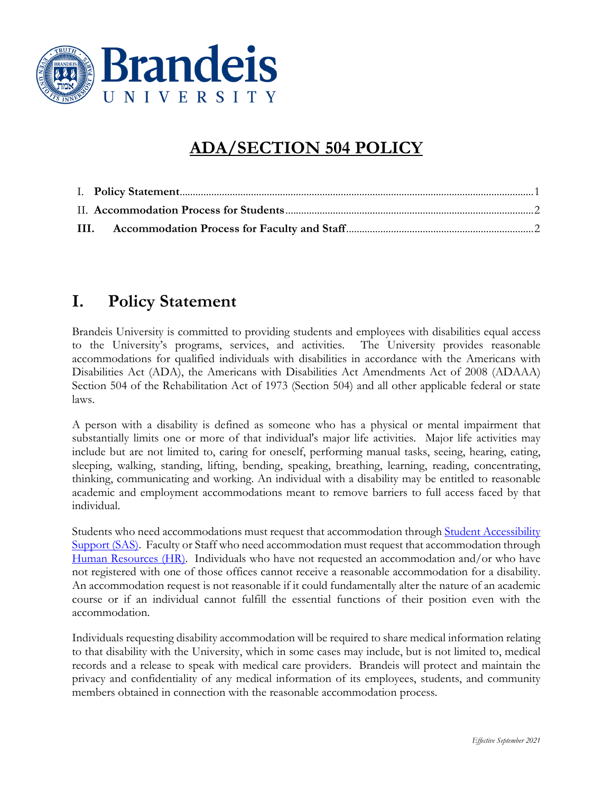

## **ADA/SECTION 504 POLICY**

## <span id="page-0-0"></span>**I. Policy Statement**

Brandeis University is committed to providing students and employees with disabilities equal access to the University's programs, services, and activities. The University provides reasonable accommodations for qualified individuals with disabilities in accordance with the Americans with Disabilities Act (ADA), the Americans with Disabilities Act Amendments Act of 2008 (ADAAA) Section 504 of the Rehabilitation Act of 1973 (Section 504) and all other applicable federal or state laws.

A person with a disability is defined as someone who has a physical or mental impairment that substantially limits one or more of that individual's major life activities. Major life activities may include but are not limited to, caring for oneself, performing manual tasks, seeing, hearing, eating, sleeping, walking, standing, lifting, bending, speaking, breathing, learning, reading, concentrating, thinking, communicating and working. An individual with a disability may be entitled to reasonable academic and employment accommodations meant to remove barriers to full access faced by that individual.

Students who need accommodations must request that accommodation through Student Accessibility [Support \(SAS\).](https://www.brandeis.edu/academic-services/accessibility/index.html) Faculty or Staff who need accommodation must request that accommodation through [Human Resources \(HR\).](https://www.brandeis.edu/human-resources/index.html) Individuals who have not requested an accommodation and/or who have not registered with one of those offices cannot receive a reasonable accommodation for a disability. An accommodation request is not reasonable if it could fundamentally alter the nature of an academic course or if an individual cannot fulfill the essential functions of their position even with the accommodation.

Individuals requesting disability accommodation will be required to share medical information relating to that disability with the University, which in some cases may include, but is not limited to, medical records and a release to speak with medical care providers. Brandeis will protect and maintain the privacy and confidentiality of any medical information of its employees, students, and community members obtained in connection with the reasonable accommodation process.